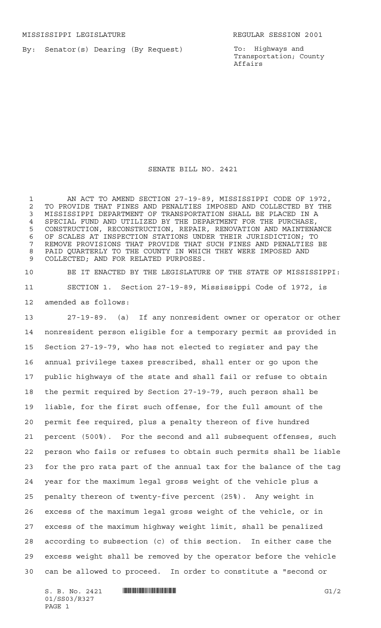By: Senator(s) Dearing (By Request)

To: Highways and Transportation; County Affairs

SENATE BILL NO. 2421

 AN ACT TO AMEND SECTION 27-19-89, MISSISSIPPI CODE OF 1972, 2 TO PROVIDE THAT FINES AND PENALTIES IMPOSED AND COLLECTED BY THE<br>3 MISSISSIPPI DEPARTMENT OF TRANSPORTATION SHALL BE PLACED IN A MISSISSIPPI DEPARTMENT OF TRANSPORTATION SHALL BE PLACED IN A SPECIAL FUND AND UTILIZED BY THE DEPARTMENT FOR THE PURCHASE, CONSTRUCTION, RECONSTRUCTION, REPAIR, RENOVATION AND MAINTENANCE OF SCALES AT INSPECTION STATIONS UNDER THEIR JURISDICTION; TO REMOVE PROVISIONS THAT PROVIDE THAT SUCH FINES AND PENALTIES BE PAID QUARTERLY TO THE COUNTY IN WHICH THEY WERE IMPOSED AND COLLECTED; AND FOR RELATED PURPOSES.

 BE IT ENACTED BY THE LEGISLATURE OF THE STATE OF MISSISSIPPI: SECTION 1. Section 27-19-89, Mississippi Code of 1972, is amended as follows:

 27-19-89. (a) If any nonresident owner or operator or other nonresident person eligible for a temporary permit as provided in Section 27-19-79, who has not elected to register and pay the annual privilege taxes prescribed, shall enter or go upon the public highways of the state and shall fail or refuse to obtain the permit required by Section 27-19-79, such person shall be liable, for the first such offense, for the full amount of the permit fee required, plus a penalty thereon of five hundred percent (500%). For the second and all subsequent offenses, such person who fails or refuses to obtain such permits shall be liable for the pro rata part of the annual tax for the balance of the tag year for the maximum legal gross weight of the vehicle plus a penalty thereon of twenty-five percent (25%). Any weight in excess of the maximum legal gross weight of the vehicle, or in excess of the maximum highway weight limit, shall be penalized according to subsection (c) of this section. In either case the excess weight shall be removed by the operator before the vehicle can be allowed to proceed. In order to constitute a "second or

S. B. No. 2421 \*SS03/R327\* G1/2 01/SS03/R327 PAGE 1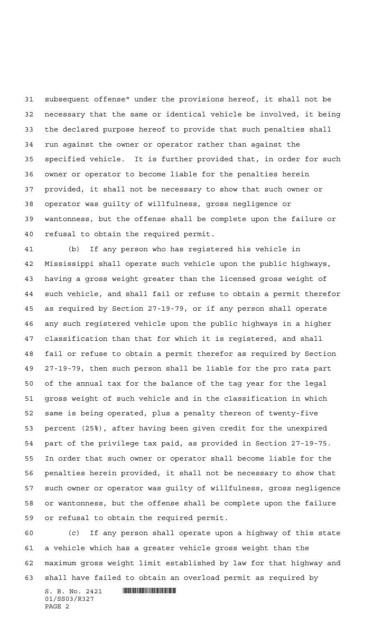subsequent offense" under the provisions hereof, it shall not be necessary that the same or identical vehicle be involved, it being the declared purpose hereof to provide that such penalties shall run against the owner or operator rather than against the specified vehicle. It is further provided that, in order for such owner or operator to become liable for the penalties herein provided, it shall not be necessary to show that such owner or operator was guilty of willfulness, gross negligence or wantonness, but the offense shall be complete upon the failure or refusal to obtain the required permit.

 (b) If any person who has registered his vehicle in Mississippi shall operate such vehicle upon the public highways, having a gross weight greater than the licensed gross weight of such vehicle, and shall fail or refuse to obtain a permit therefor as required by Section 27-19-79, or if any person shall operate any such registered vehicle upon the public highways in a higher classification than that for which it is registered, and shall fail or refuse to obtain a permit therefor as required by Section 27-19-79, then such person shall be liable for the pro rata part of the annual tax for the balance of the tag year for the legal gross weight of such vehicle and in the classification in which same is being operated, plus a penalty thereon of twenty-five percent (25%), after having been given credit for the unexpired part of the privilege tax paid, as provided in Section 27-19-75. In order that such owner or operator shall become liable for the penalties herein provided, it shall not be necessary to show that such owner or operator was guilty of willfulness, gross negligence or wantonness, but the offense shall be complete upon the failure or refusal to obtain the required permit.

 (c) If any person shall operate upon a highway of this state a vehicle which has a greater vehicle gross weight than the maximum gross weight limit established by law for that highway and shall have failed to obtain an overload permit as required by

 $S. B. No. 2421$  **Will Alberta Alberta Alberta Alberta Alberta Alberta Alberta Alberta Alberta Alberta Alberta Alberta Alberta Alberta Alberta Alberta Alberta Alberta Alberta Alberta Alberta Alberta Alberta Alberta Alberta A** 01/SS03/R327 PAGE 2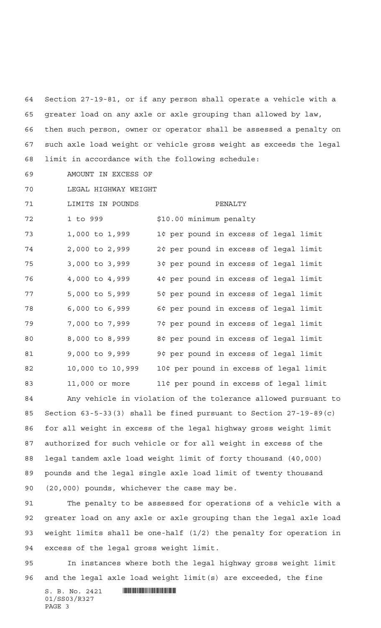Section 27-19-81, or if any person shall operate a vehicle with a greater load on any axle or axle grouping than allowed by law, then such person, owner or operator shall be assessed a penalty on such axle load weight or vehicle gross weight as exceeds the legal limit in accordance with the following schedule:

AMOUNT IN EXCESS OF

LEGAL HIGHWAY WEIGHT

71 LIMITS IN POUNDS PENALTY 72 1 to 999 \$10.00 minimum penalty 1,000 to 1,999 1¢ per pound in excess of legal limit 2,000 to 2,999 2¢ per pound in excess of legal limit 3,000 to 3,999 3¢ per pound in excess of legal limit 4,000 to 4,999 4¢ per pound in excess of legal limit 5,000 to 5,999 5¢ per pound in excess of legal limit 6,000 to 6,999 6¢ per pound in excess of legal limit 7,000 to 7,999 7¢ per pound in excess of legal limit 8,000 to 8,999 8¢ per pound in excess of legal limit 9,000 to 9,999 9¢ per pound in excess of legal limit 10,000 to 10,999 10¢ per pound in excess of legal limit 11,000 or more 11¢ per pound in excess of legal limit

 Any vehicle in violation of the tolerance allowed pursuant to Section 63-5-33(3) shall be fined pursuant to Section 27-19-89(c) for all weight in excess of the legal highway gross weight limit authorized for such vehicle or for all weight in excess of the legal tandem axle load weight limit of forty thousand (40,000) pounds and the legal single axle load limit of twenty thousand (20,000) pounds, whichever the case may be.

 The penalty to be assessed for operations of a vehicle with a greater load on any axle or axle grouping than the legal axle load weight limits shall be one-half (1/2) the penalty for operation in excess of the legal gross weight limit.

 In instances where both the legal highway gross weight limit and the legal axle load weight limit(s) are exceeded, the fine

 $S. B. No. 2421$  **... INSECTION ASSESSMENT ASSESSMENT ASSESS** 01/SS03/R327 PAGE 3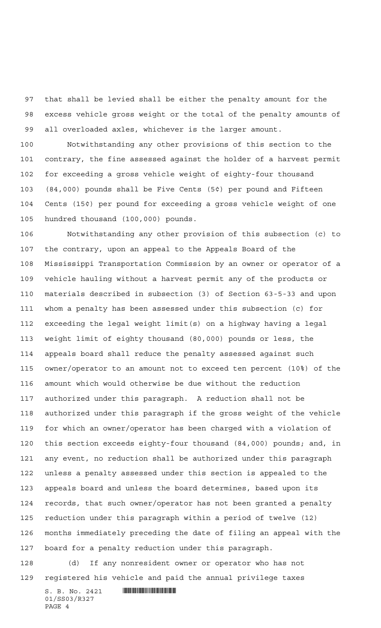that shall be levied shall be either the penalty amount for the excess vehicle gross weight or the total of the penalty amounts of all overloaded axles, whichever is the larger amount.

 Notwithstanding any other provisions of this section to the contrary, the fine assessed against the holder of a harvest permit for exceeding a gross vehicle weight of eighty-four thousand (84,000) pounds shall be Five Cents (5¢) per pound and Fifteen Cents (15¢) per pound for exceeding a gross vehicle weight of one hundred thousand (100,000) pounds.

 Notwithstanding any other provision of this subsection (c) to the contrary, upon an appeal to the Appeals Board of the Mississippi Transportation Commission by an owner or operator of a vehicle hauling without a harvest permit any of the products or materials described in subsection (3) of Section 63-5-33 and upon whom a penalty has been assessed under this subsection (c) for exceeding the legal weight limit(s) on a highway having a legal weight limit of eighty thousand (80,000) pounds or less, the appeals board shall reduce the penalty assessed against such owner/operator to an amount not to exceed ten percent (10%) of the amount which would otherwise be due without the reduction authorized under this paragraph. A reduction shall not be authorized under this paragraph if the gross weight of the vehicle for which an owner/operator has been charged with a violation of this section exceeds eighty-four thousand (84,000) pounds; and, in any event, no reduction shall be authorized under this paragraph unless a penalty assessed under this section is appealed to the appeals board and unless the board determines, based upon its records, that such owner/operator has not been granted a penalty reduction under this paragraph within a period of twelve (12) months immediately preceding the date of filing an appeal with the board for a penalty reduction under this paragraph.

 (d) If any nonresident owner or operator who has not registered his vehicle and paid the annual privilege taxes

 $S. B. No. 2421$  **... INSECTION ASSESSMENT ASSESSMENT ASSESS** 01/SS03/R327 PAGE 4